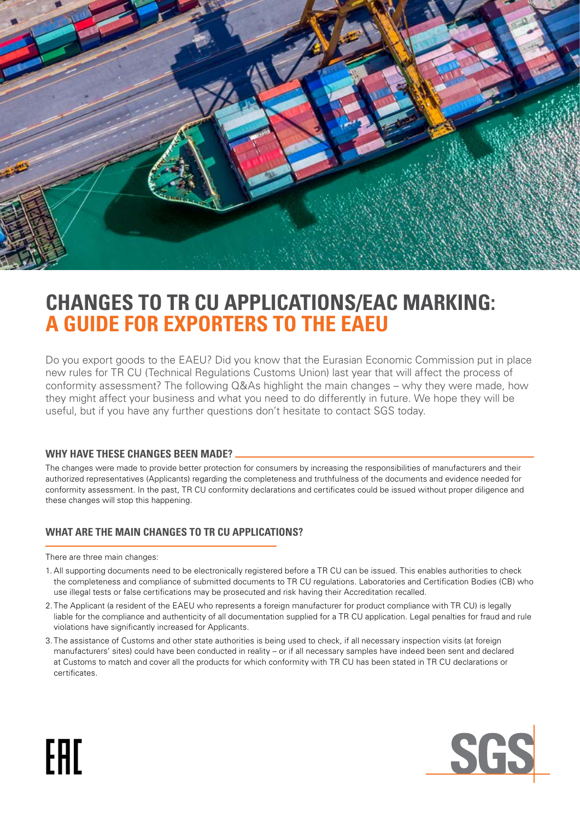

# **CHANGES TO TR CU APPLICATIONS/EAC MARKING: A GUIDE FOR EXPORTERS TO THE EAEU**

Do you export goods to the EAEU? Did you know that the Eurasian Economic Commission put in place new rules for TR CU (Technical Regulations Customs Union) last year that will affect the process of conformity assessment? The following Q&As highlight the main changes – why they were made, how they might affect your business and what you need to do differently in future. We hope they will be useful, but if you have any further questions don't hesitate to contact SGS today.

#### **WHY HAVE THESE CHANGES BEEN MADE?**

The changes were made to provide better protection for consumers by increasing the responsibilities of manufacturers and their authorized representatives (Applicants) regarding the completeness and truthfulness of the documents and evidence needed for conformity assessment. In the past, TR CU conformity declarations and certificates could be issued without proper diligence and these changes will stop this happening.

## **WHAT ARE THE MAIN CHANGES TO TR CU APPLICATIONS?**

There are three main changes:

FAT

- 1. All supporting documents need to be electronically registered before a TR CU can be issued. This enables authorities to check the completeness and compliance of submitted documents to TR CU regulations. Laboratories and Certification Bodies (CB) who use illegal tests or false certifications may be prosecuted and risk having their Accreditation recalled.
- 2. The Applicant (a resident of the EAEU who represents a foreign manufacturer for product compliance with TR CU) is legally liable for the compliance and authenticity of all documentation supplied for a TR CU application. Legal penalties for fraud and rule violations have significantly increased for Applicants.
- 3. The assistance of Customs and other state authorities is being used to check, if all necessary inspection visits (at foreign manufacturers' sites) could have been conducted in reality – or if all necessary samples have indeed been sent and declared at Customs to match and cover all the products for which conformity with TR CU has been stated in TR CU declarations or certificates.